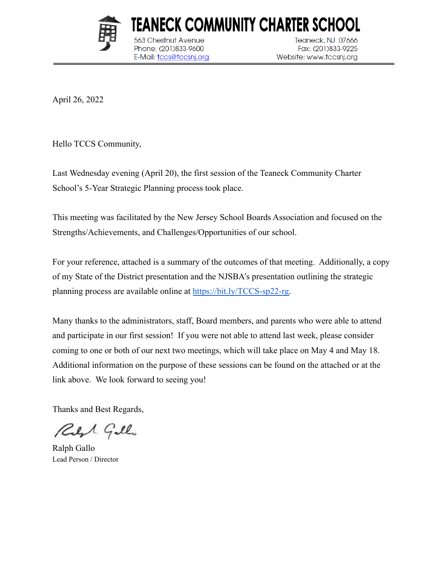

563 Chestnut Avenue

Phone: (201)833-9600

E-Mail: tccs@tccsnj.org

**Teaneck, NJ 07666** Fax: (201)833-9225 Website: www.tccsnj.org

April 26, 2022

Hello TCCS Community,

Last Wednesday evening (April 20), the first session of the Teaneck Community Charter School's 5-Year Strategic Planning process took place.

This meeting was facilitated by the New Jersey School Boards Association and focused on the Strengths/Achievements, and Challenges/Opportunities of our school.

TEANECK COMMUNITY CHARTER SCHOOL

For your reference, attached is a summary of the outcomes of that meeting. Additionally, a copy of my State of the District presentation and the NJSBA's presentation outlining the strategic planning process are available online at [https://bit.ly/TCCS-sp22-rg.](https://bit.ly/TCCS-sp22-rg)

Many thanks to the administrators, staff, Board members, and parents who were able to attend and participate in our first session! If you were not able to attend last week, please consider coming to one or both of our next two meetings, which will take place on May 4 and May 18. Additional information on the purpose of these sessions can be found on the attached or at the link above. We look forward to seeing you!

Thanks and Best Regards,

Reft Gillo

Ralph Gallo Lead Person / Director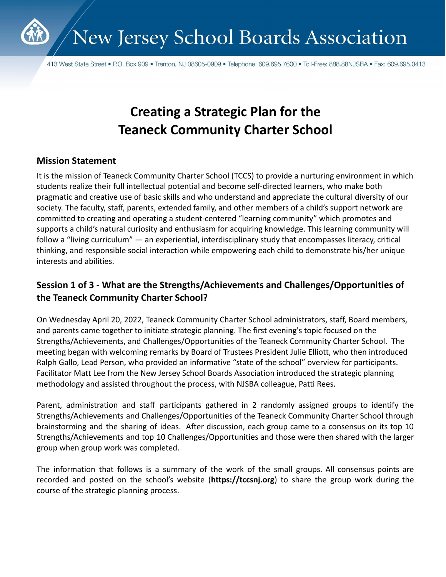

413 West State Street • P.O. Box 909 • Trenton, NJ 08605-0909 • Telephone: 609.695.7600 • Toll-Free: 888.88NJSBA • Fax: 609.695.0413

# **Creating a Strategic Plan for the Teaneck Community Charter School**

#### **Mission Statement**

It is the mission of Teaneck Community Charter School (TCCS) to provide a nurturing environment in which students realize their full intellectual potential and become self-directed learners, who make both pragmatic and creative use of basic skills and who understand and appreciate the cultural diversity of our society. The faculty, staff, parents, extended family, and other members of a child's support network are committed to creating and operating a student-centered "learning community" which promotes and supports a child's natural curiosity and enthusiasm for acquiring knowledge. This learning community will follow a "living curriculum" — an experiential, interdisciplinary study that encompasses literacy, critical thinking, and responsible social interaction while empowering each child to demonstrate his/her unique interests and abilities.

## **Session 1 of 3 - What are the Strengths/Achievements and Challenges/Opportunities of the Teaneck Community Charter School?**

On Wednesday April 20, 2022, Teaneck Community Charter School administrators, staff, Board members, and parents came together to initiate strategic planning. The first evening's topic focused on the Strengths/Achievements, and Challenges/Opportunities of the Teaneck Community Charter School. The meeting began with welcoming remarks by Board of Trustees President Julie Elliott, who then introduced Ralph Gallo, Lead Person, who provided an informative "state of the school" overview for participants. Facilitator Matt Lee from the New Jersey School Boards Association introduced the strategic planning methodology and assisted throughout the process, with NJSBA colleague, Patti Rees.

Parent, administration and staff participants gathered in 2 randomly assigned groups to identify the Strengths/Achievements and Challenges/Opportunities of the Teaneck Community Charter School through brainstorming and the sharing of ideas. After discussion, each group came to a consensus on its top 10 Strengths/Achievements and top 10 Challenges/Opportunities and those were then shared with the larger group when group work was completed.

The information that follows is a summary of the work of the small groups. All consensus points are recorded and posted on the school's website (**https://tccsnj.org**) to share the group work during the course of the strategic planning process.